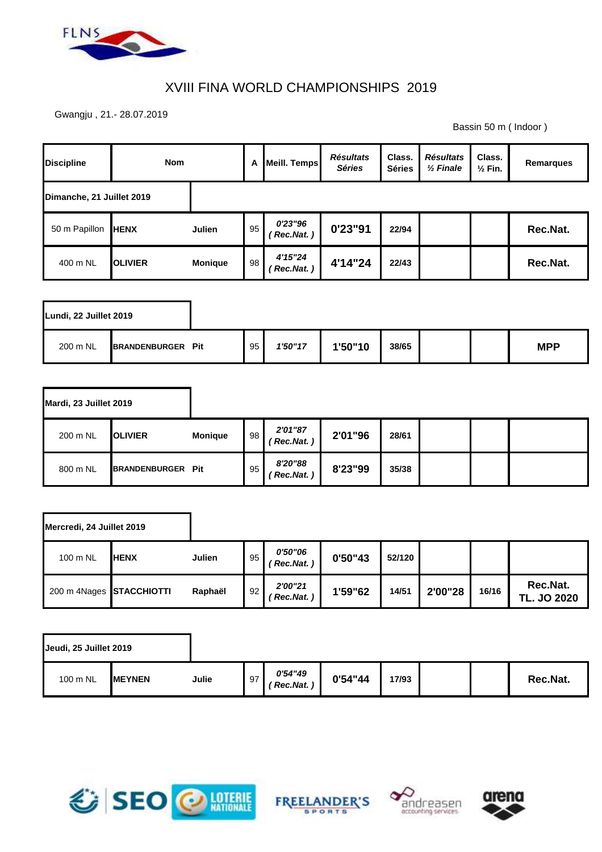

## XVIII FINA WORLD CHAMPIONSHIPS 2019

Gwangju , 21.- 28.07.2019

Bassin 50 m ( Indoor )

| <b>Discipline</b>         | <b>Nom</b>     |                | A  | <b>Meill. Temps</b>  | <b>Résultats</b><br><b>Séries</b> | Class.<br><b>Séries</b> | <b>Résultats</b><br>$\frac{1}{2}$ Finale | Class.<br>$\frac{1}{2}$ Fin. | Remarques |
|---------------------------|----------------|----------------|----|----------------------|-----------------------------------|-------------------------|------------------------------------------|------------------------------|-----------|
| Dimanche, 21 Juillet 2019 |                |                |    |                      |                                   |                         |                                          |                              |           |
| 50 m Papillon             | <b>HENX</b>    | Julien         | 95 | 0'23"96<br>Rec.Nat.) | 0'23"91                           | 22/94                   |                                          |                              | Rec.Nat.  |
| 400 m NL                  | <b>OLIVIER</b> | <b>Monique</b> | 98 | 4'15"24<br>Rec.Nat.) | 4'14"24                           | 22/43                   |                                          |                              | Rec.Nat.  |

| Lundi, 22 Juillet 2019 |                          |    |         |         |       |  |            |
|------------------------|--------------------------|----|---------|---------|-------|--|------------|
| 200 m NL               | <b>BRANDENBURGER Pit</b> | 95 | 1'50"17 | 1'50"10 | 38/65 |  | <b>MPP</b> |

| Mardi, 23 Juillet 2019 |                          |                |    |                      |         |       |  |  |
|------------------------|--------------------------|----------------|----|----------------------|---------|-------|--|--|
| 200 m NL               | <b>IOLIVIER</b>          | <b>Monique</b> | 98 | 2'01"87<br>Rec.Nat.) | 2'01"96 | 28/61 |  |  |
| 800 m NL               | <b>BRANDENBURGER Pit</b> |                | 95 | 8'20"88<br>Rec.Nat.) | 8'23"99 | 35/38 |  |  |

| Mercredi, 24 Juillet 2019 |              |         |    |                                    |         |        |         |       |                                |
|---------------------------|--------------|---------|----|------------------------------------|---------|--------|---------|-------|--------------------------------|
| 100 m NL                  | <b>IHENX</b> | Julien  | 95 | <i><b>0'50"06</b></i><br>Rec.Nat.) | 0'50"43 | 52/120 |         |       |                                |
| 200 m 4Nages STACCHIOTTI  |              | Raphaël | 92 | 2'00"21<br>Rec.Nat.)               | 1'59"62 | 14/51  | 2'00"28 | 16/16 | Rec.Nat.<br><b>TL. JO 2020</b> |

| Jeudi, 25 Juillet 2019 |                |       |    |                     |          |       |  |          |
|------------------------|----------------|-------|----|---------------------|----------|-------|--|----------|
| 100 m NL               | <b>IMEYNEN</b> | Julie | 97 | 0'54"49<br>Rec.Nat. | 0'54''44 | 17/93 |  | Rec.Nat. |